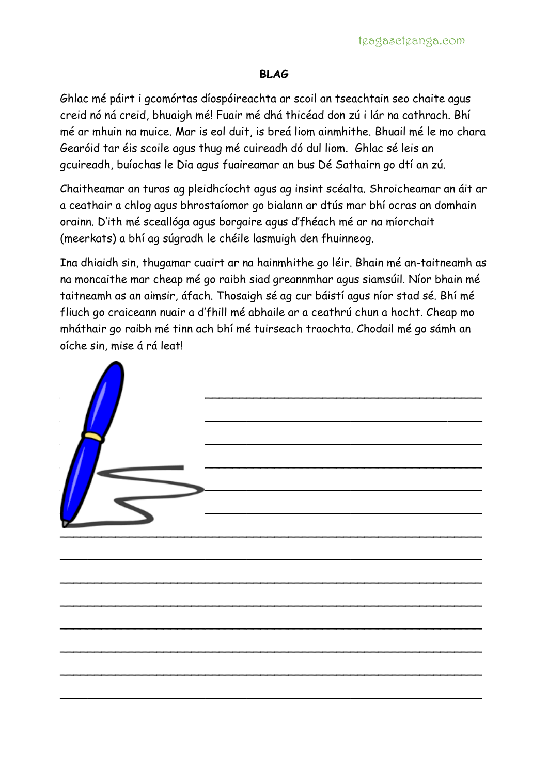## **BLAG**

Ghlac mé páirt i gcomórtas díospóireachta ar scoil an tseachtain seo chaite agus creid nó ná creid, bhuaigh mé! Fuair mé dhá thicéad don zú i lár na cathrach. Bhí mé ar mhuin na muice. Mar is eol duit, is breá liom ainmhithe. Bhuail mé le mo chara Gearóid tar éis scoile agus thug mé cuireadh dó dul liom. Ghlac sé leis an gcuireadh, buíochas le Dia agus fuaireamar an bus Dé Sathairn go dtí an zú.

Chaitheamar an turas ag pleidhcíocht agus ag insint scéalta. Shroicheamar an áit ar a ceathair a chlog agus bhrostaíomor go bialann ar dtús mar bhí ocras an domhain orainn. D'ith mé sceallóga agus borgaire agus d'fhéach mé ar na míorchait (meerkats) a bhí ag súgradh le chéile lasmuigh den fhuinneog.

Ina dhiaidh sin, thugamar cuairt ar na hainmhithe go léir. Bhain mé an-taitneamh as na moncaithe mar cheap mé go raibh siad greannmhar agus siamsúil. Níor bhain mé taitneamh as an aimsir, áfach. Thosaigh sé ag cur báistí agus níor stad sé. Bhí mé fliuch go craiceann nuair a d'fhill mé abhaile ar a ceathrú chun a hocht. Cheap mo mháthair go raibh mé tinn ach bhí mé tuirseach traochta. Chodail mé go sámh an oíche sin, mise á rá leat!



\_\_\_\_\_\_\_\_\_\_\_\_\_\_\_\_\_\_\_\_\_\_\_\_\_\_\_\_\_\_\_\_\_\_\_\_\_\_\_\_\_\_\_\_\_\_\_\_\_\_\_\_\_\_\_\_\_\_\_\_\_

\_\_\_\_\_\_\_\_\_\_\_\_\_\_\_\_\_\_\_\_\_\_\_\_\_\_\_\_\_\_\_\_\_\_\_\_\_\_\_\_\_\_\_\_\_\_\_\_\_\_\_\_\_\_\_\_\_\_\_\_\_

\_\_\_\_\_\_\_\_\_\_\_\_\_\_\_\_\_\_\_\_\_\_\_\_\_\_\_\_\_\_\_\_\_\_\_\_\_\_\_\_\_\_\_\_\_\_\_\_\_\_\_\_\_\_\_\_\_\_\_\_\_

\_\_\_\_\_\_\_\_\_\_\_\_\_\_\_\_\_\_\_\_\_\_\_\_\_\_\_\_\_\_\_\_\_\_\_\_\_\_\_\_\_\_\_\_\_\_\_\_\_\_\_\_\_\_\_\_\_\_\_\_\_